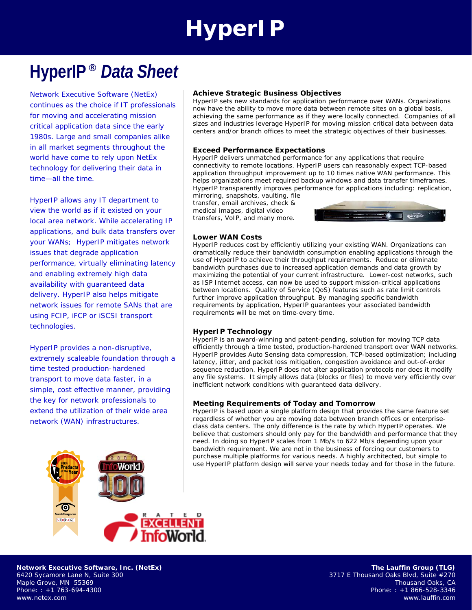# **HyperIP**

## **HyperIP** *Data Sheet*

Network Executive Software (NetEx) continues as the choice if IT professionals for moving and accelerating mission critical application data since the early 1980s. Large and small companies alike in all market segments throughout the world have come to rely upon NetEx technology for delivering their data in time—all the time.

HyperIP allows any IT department to view the world as if it existed on your local area network. While accelerating IP applications, and bulk data transfers over your WANs; HyperIP mitigates network issues that degrade application performance, virtually eliminating latency and enabling extremely high data availability with guaranteed data delivery. HyperIP also helps mitigate network issues for remote SANs that are using FCIP, iFCP or iSCSI transport technologies.

HyperIP provides a non-disruptive, extremely scaleable foundation through a time tested production-hardened transport to move data faster, in a simple, cost effective manner, providing the key for network professionals to extend the utilization of their wide area network (WAN) infrastructures.



#### **Achieve Strategic Business Objectives**

HyperIP sets new standards for application performance over WANs. Organizations now have the ability to move more data between remote sites on a global basis, achieving the same performance as if they were locally connected. Companies of all sizes and industries leverage HyperIP for moving mission critical data between data centers and/or branch offices to meet the strategic objectives of their businesses.

#### **Exceed Performance Expectations**

mirroring, snapshots, vaulting, file

HyperIP delivers unmatched performance for any applications that require connectivity to remote locations. HyperIP users can reasonably expect TCP-based application throughput improvement up to 10 times native WAN performance. This helps organizations meet required backup windows and data transfer timeframes. HyperIP transparently improves performance for applications including: replication,

transfer, email archives, check & medical images, digital video transfers, VoIP, and many more.



#### **Lower WAN Costs**

HyperIP reduces cost by efficiently utilizing your existing WAN. Organizations can dramatically reduce their bandwidth consumption enabling applications through the use of HyperIP to achieve their throughput requirements. Reduce or eliminate bandwidth purchases due to increased application demands and data growth by maximizing the potential of your current infrastructure. Lower-cost networks, such as ISP Internet access, can now be used to support mission-critical applications between locations. Quality of Service (QoS) features such as rate limit controls further improve application throughput. By managing specific bandwidth requirements by application, HyperIP guarantees your associated bandwidth requirements will be met on time-every time.

#### **HyperIP Technology**

HyperIP is an award-winning and patent-pending, solution for moving TCP data efficiently through a time tested, production-hardened transport over WAN networks. HyperIP provides Auto Sensing data compression, TCP-based optimization; including latency, jitter, and packet loss mitigation, congestion avoidance and out-of-order sequence reduction. HyperIP does not alter application protocols nor does it modify any file systems. It simply allows data (blocks or files) to move very efficiently over inefficient network conditions with guaranteed data delivery.

#### **Meeting Requirements of Today and Tomorrow**

HyperIP is based upon a single platform design that provides the same feature set regardless of whether you are moving data between branch offices or enterpriseclass data centers. The only difference is the rate by which HyperIP operates. We believe that customers should only pay for the bandwidth and performance that they need. In doing so HyperIP scales from 1 Mb/s to 622 Mb/s depending upon your bandwidth requirement. We are not in the business of forcing our customers to purchase multiple platforms for various needs. A highly architected, but simple to use HyperIP platform design will serve your needs today and for those in the future.

**Network Executive Software, Inc. (NetEx)**  6420 Sycamore Lane N, Suite 300 Maple Grove, MN 55369 Phone: : +1 763-694-4300 www.netex.com

**The Lauffin Group (TLG)**  3717 E Thousand Oaks Blvd, Suite #270 Thousand Oaks, CA Phone: : +1 866-528-3346 www.lauffin.com